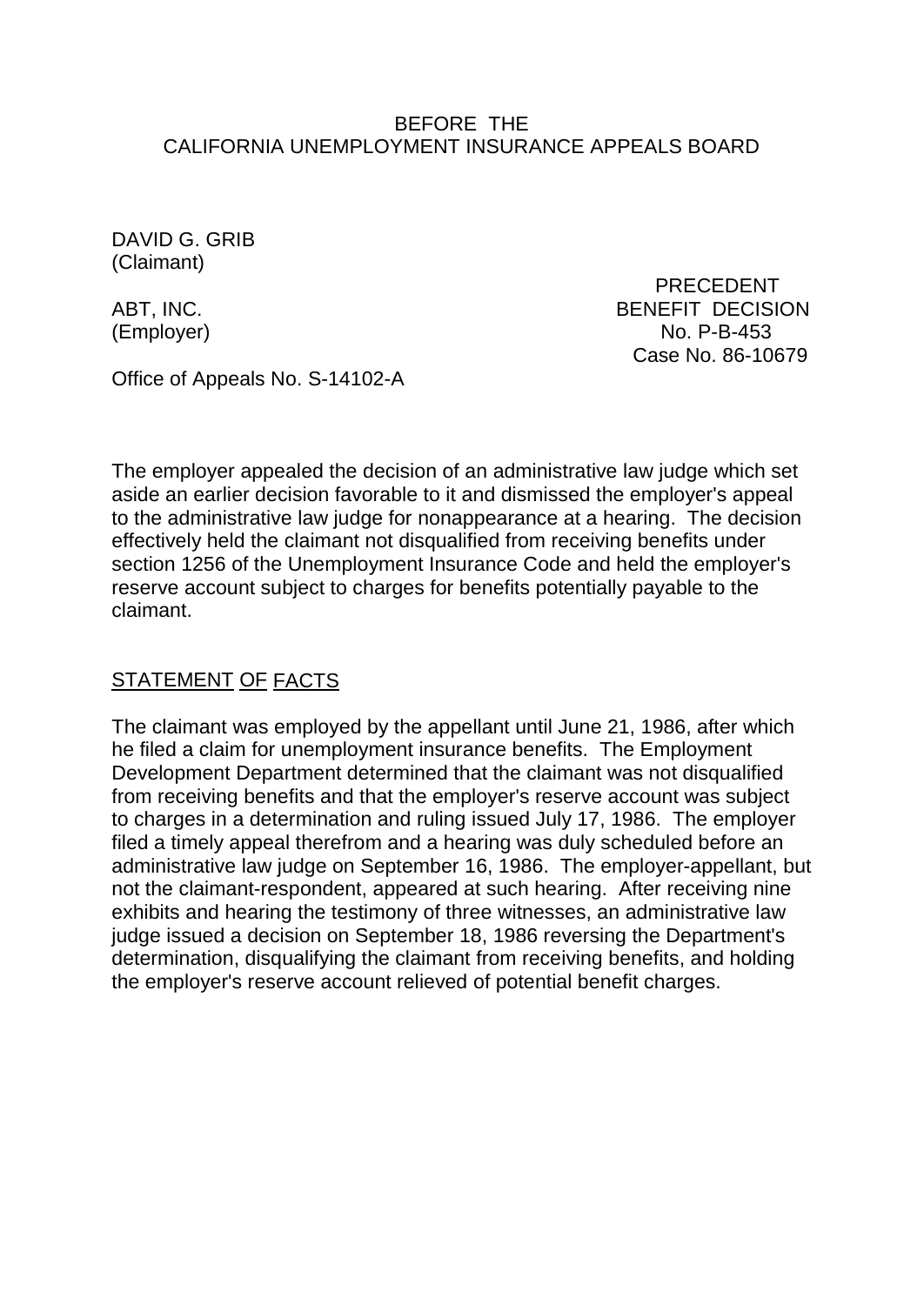#### BEFORE THE CALIFORNIA UNEMPLOYMENT INSURANCE APPEALS BOARD

DAVID G. GRIB (Claimant)

 PRECEDENT ABT, INC. ABT, INC. (Employer) No. P-B-453 Case No. 86-10679

Office of Appeals No. S-14102-A

The employer appealed the decision of an administrative law judge which set aside an earlier decision favorable to it and dismissed the employer's appeal to the administrative law judge for nonappearance at a hearing. The decision effectively held the claimant not disqualified from receiving benefits under section 1256 of the Unemployment Insurance Code and held the employer's reserve account subject to charges for benefits potentially payable to the claimant.

# STATEMENT OF FACTS

The claimant was employed by the appellant until June 21, 1986, after which he filed a claim for unemployment insurance benefits. The Employment Development Department determined that the claimant was not disqualified from receiving benefits and that the employer's reserve account was subject to charges in a determination and ruling issued July 17, 1986. The employer filed a timely appeal therefrom and a hearing was duly scheduled before an administrative law judge on September 16, 1986. The employer-appellant, but not the claimant-respondent, appeared at such hearing. After receiving nine exhibits and hearing the testimony of three witnesses, an administrative law judge issued a decision on September 18, 1986 reversing the Department's determination, disqualifying the claimant from receiving benefits, and holding the employer's reserve account relieved of potential benefit charges.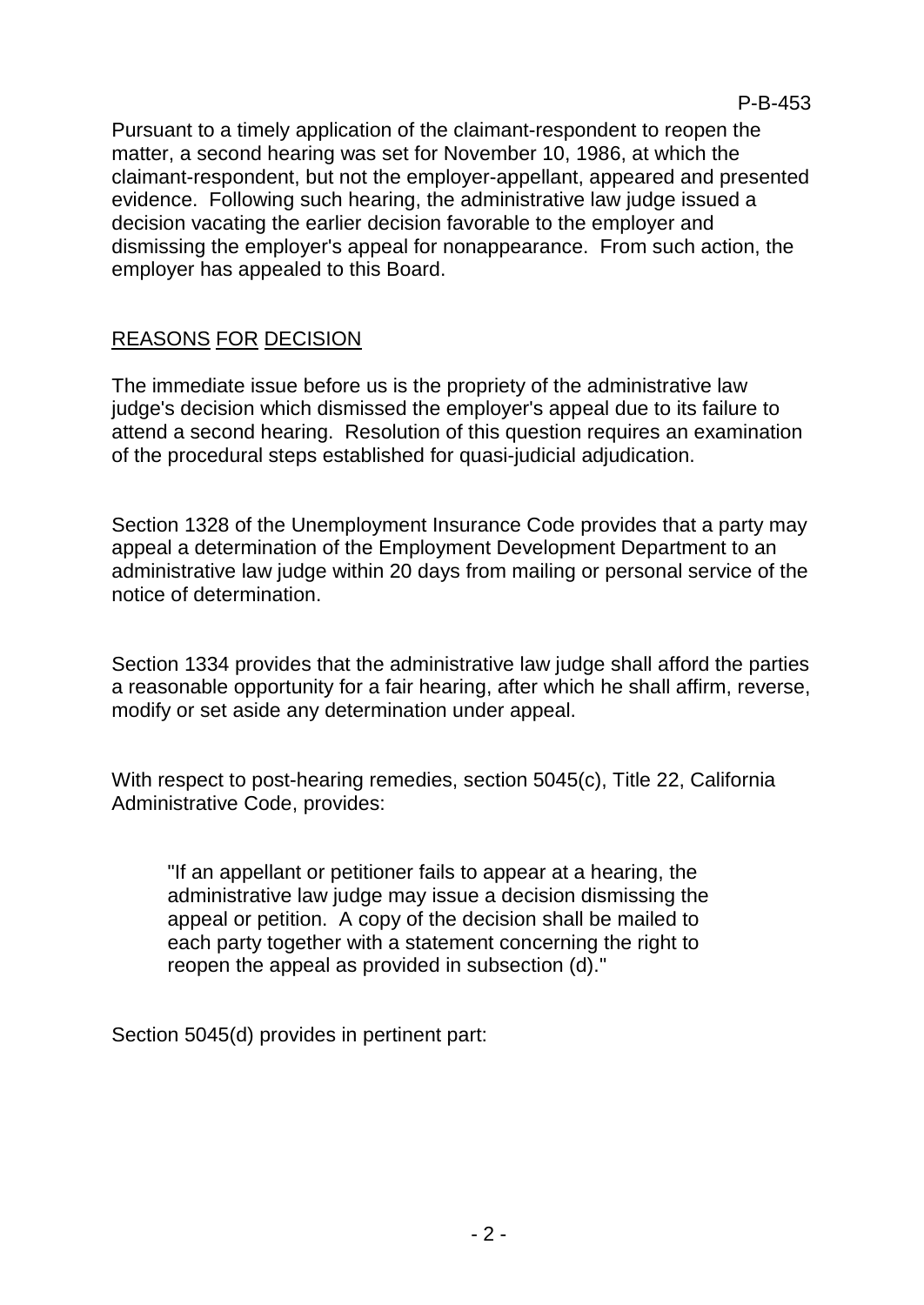Pursuant to a timely application of the claimant-respondent to reopen the matter, a second hearing was set for November 10, 1986, at which the claimant-respondent, but not the employer-appellant, appeared and presented evidence. Following such hearing, the administrative law judge issued a decision vacating the earlier decision favorable to the employer and dismissing the employer's appeal for nonappearance. From such action, the employer has appealed to this Board.

# REASONS FOR DECISION

The immediate issue before us is the propriety of the administrative law judge's decision which dismissed the employer's appeal due to its failure to attend a second hearing. Resolution of this question requires an examination of the procedural steps established for quasi-judicial adjudication.

Section 1328 of the Unemployment Insurance Code provides that a party may appeal a determination of the Employment Development Department to an administrative law judge within 20 days from mailing or personal service of the notice of determination.

Section 1334 provides that the administrative law judge shall afford the parties a reasonable opportunity for a fair hearing, after which he shall affirm, reverse, modify or set aside any determination under appeal.

With respect to post-hearing remedies, section 5045(c), Title 22, California Administrative Code, provides:

"If an appellant or petitioner fails to appear at a hearing, the administrative law judge may issue a decision dismissing the appeal or petition. A copy of the decision shall be mailed to each party together with a statement concerning the right to reopen the appeal as provided in subsection (d)."

Section 5045(d) provides in pertinent part: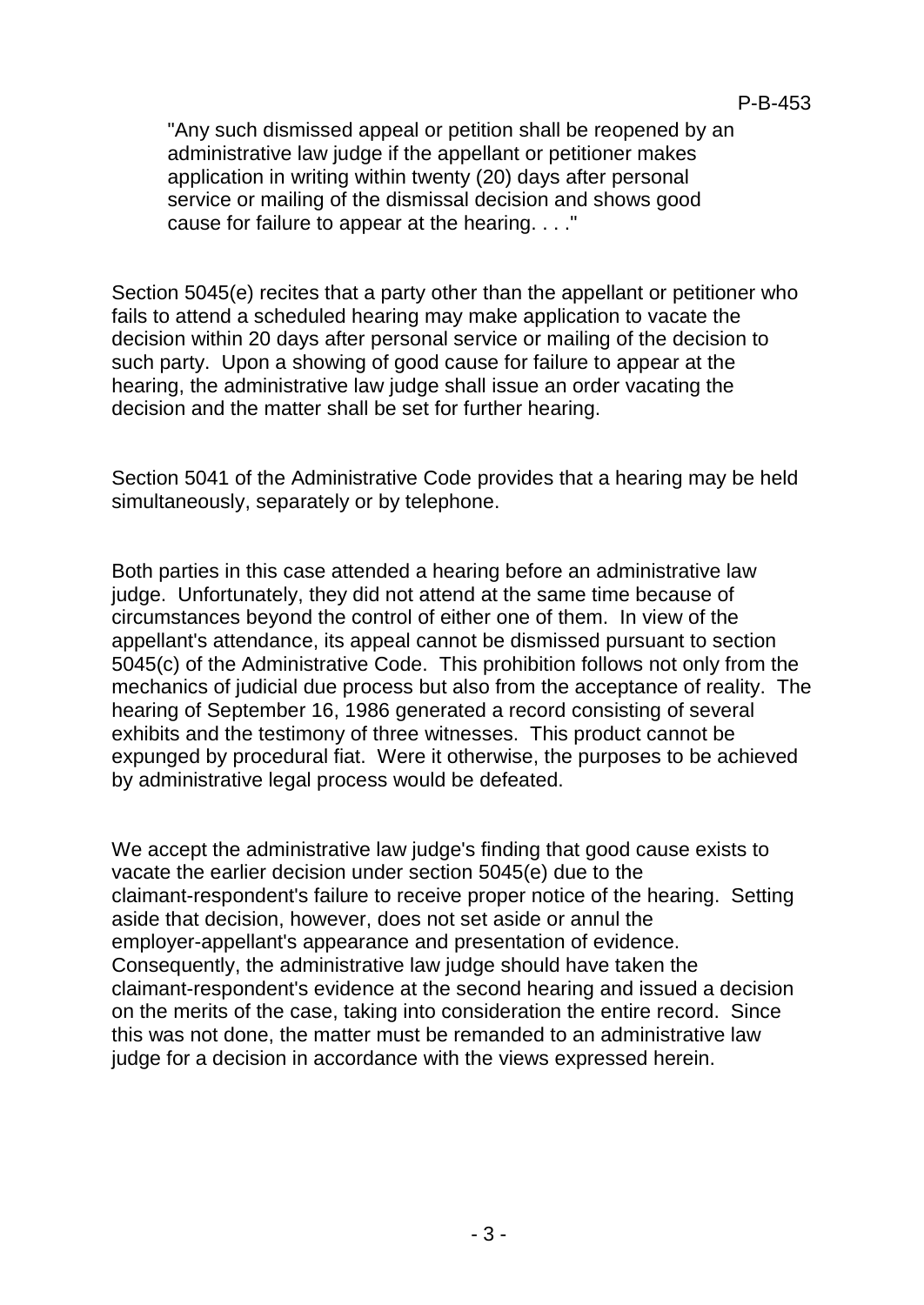"Any such dismissed appeal or petition shall be reopened by an administrative law judge if the appellant or petitioner makes application in writing within twenty (20) days after personal service or mailing of the dismissal decision and shows good cause for failure to appear at the hearing. . . ."

Section 5045(e) recites that a party other than the appellant or petitioner who fails to attend a scheduled hearing may make application to vacate the decision within 20 days after personal service or mailing of the decision to such party. Upon a showing of good cause for failure to appear at the hearing, the administrative law judge shall issue an order vacating the decision and the matter shall be set for further hearing.

Section 5041 of the Administrative Code provides that a hearing may be held simultaneously, separately or by telephone.

Both parties in this case attended a hearing before an administrative law judge. Unfortunately, they did not attend at the same time because of circumstances beyond the control of either one of them. In view of the appellant's attendance, its appeal cannot be dismissed pursuant to section 5045(c) of the Administrative Code. This prohibition follows not only from the mechanics of judicial due process but also from the acceptance of reality. The hearing of September 16, 1986 generated a record consisting of several exhibits and the testimony of three witnesses. This product cannot be expunged by procedural fiat. Were it otherwise, the purposes to be achieved by administrative legal process would be defeated.

We accept the administrative law judge's finding that good cause exists to vacate the earlier decision under section 5045(e) due to the claimant-respondent's failure to receive proper notice of the hearing. Setting aside that decision, however, does not set aside or annul the employer-appellant's appearance and presentation of evidence. Consequently, the administrative law judge should have taken the claimant-respondent's evidence at the second hearing and issued a decision on the merits of the case, taking into consideration the entire record. Since this was not done, the matter must be remanded to an administrative law judge for a decision in accordance with the views expressed herein.